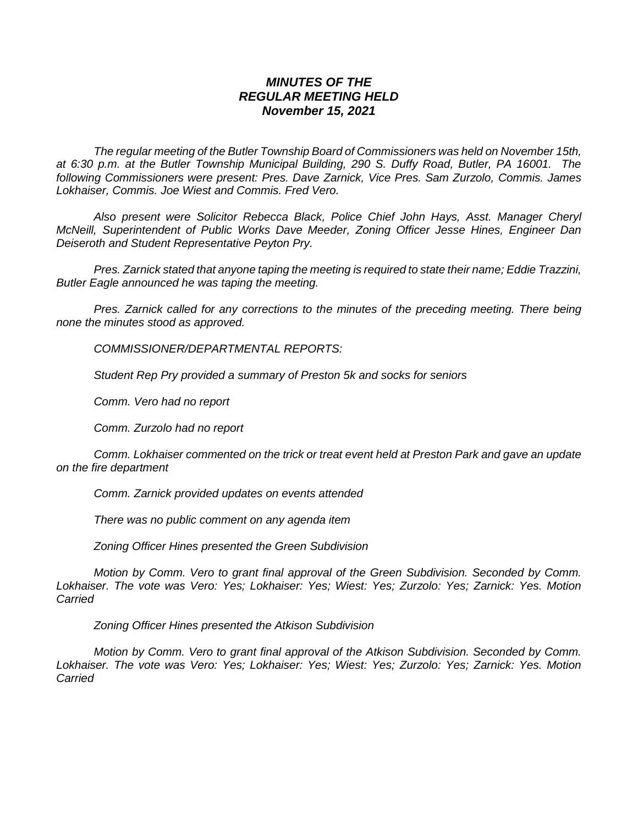## *MINUTES OF THE REGULAR MEETING HELD November 15, 2021*

*The regular meeting of the Butler Township Board of Commissioners was held on November 15th, at 6:30 p.m. at the Butler Township Municipal Building, 290 S. Duffy Road, Butler, PA 16001. The following Commissioners were present: Pres. Dave Zarnick, Vice Pres. Sam Zurzolo, Commis. James Lokhaiser, Commis. Joe Wiest and Commis. Fred Vero.*

*Also present were Solicitor Rebecca Black, Police Chief John Hays, Asst. Manager Cheryl McNeill, Superintendent of Public Works Dave Meeder, Zoning Officer Jesse Hines, Engineer Dan Deiseroth and Student Representative Peyton Pry.*

*Pres. Zarnick stated that anyone taping the meeting is required to state their name; Eddie Trazzini, Butler Eagle announced he was taping the meeting.*

*Pres. Zarnick called for any corrections to the minutes of the preceding meeting. There being none the minutes stood as approved.*

*COMMISSIONER/DEPARTMENTAL REPORTS:*

*Student Rep Pry provided a summary of Preston 5k and socks for seniors*

*Comm. Vero had no report*

*Comm. Zurzolo had no report*

*Comm. Lokhaiser commented on the trick or treat event held at Preston Park and gave an update on the fire department*

*Comm. Zarnick provided updates on events attended*

*There was no public comment on any agenda item*

*Zoning Officer Hines presented the Green Subdivision*

*Motion by Comm. Vero to grant final approval of the Green Subdivision. Seconded by Comm. Lokhaiser. The vote was Vero: Yes; Lokhaiser: Yes; Wiest: Yes; Zurzolo: Yes; Zarnick: Yes. Motion Carried*

*Zoning Officer Hines presented the Atkison Subdivision*

*Motion by Comm. Vero to grant final approval of the Atkison Subdivision. Seconded by Comm. Lokhaiser. The vote was Vero: Yes; Lokhaiser: Yes; Wiest: Yes; Zurzolo: Yes; Zarnick: Yes. Motion Carried*